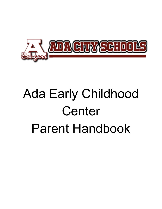

# Ada Early Childhood Center Parent Handbook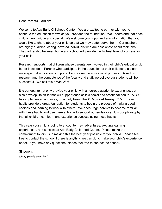Dear Parent/Guardian:

Welcome to Ada Early Childhood Center! We are excited to partner with you to continue the education for which you provided the foundation. We understand that each child is very unique and special. We welcome your input and any information that you would like to share about your child so that we may better serve them. Our teachers are highly qualified, caring, devoted individuals who are passionate about their jobs. The partnership between home and school will provide the highest level of success for your child.

Research supports that children whose parents are involved in their child's education do better in school. Parents who participate in the education of their child send a clear message that education is important and value the educational process. Based on research and the competence of the faculty and staff, we believe our students will be successful. We call this a Win-Win!

It is our goal to not only provide your child with a rigorous academic experience, but also develop life skills that will support each child's social and emotional health. AECC has implemented and uses, on a daily basis, the *7 Habits of Happy Kids.* These habits provide a great foundation for students to begin the process of making good choices and learning to work with others. We encourage parents to become familiar with these habits and use them at home to support our endeavors. It is our philosophy that all children can learn and experience success using these habits.

This year your child is going to encounter new adventures, exciting learning experiences, and success at Ada Early Childhood Center. Please make the commitment to join us in making this the best year possible for your child. Please feel free to contact the school if there is anything we can do to make your child's experience better. If you have any questions, please feel free to contact the school.

Cindy Brady, Prin ipal Sincerely,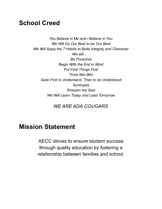#### **School Creed**

 *You Believe in Me and I Believe in You We Will Do Our Best to be Our Best We Will Apply the 7 Habits to Build Integrity and Character We will . . . Begin With the End in Mind Put First Things First Seek First to Understand, Then to be Understood Sharpen the Saw We Will Learn Today and Lead Tomorrow Be Proactive Think Win-Win Synergize*

*WE ARE ADA COUGARS*

#### **Mission Statement**

AECC strives to ensure student success through quality education by fostering a relationship between families and school.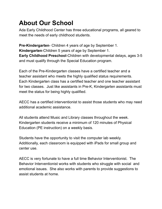### **About Our School**

 Ada Early Childhood Center has three educational programs, all geared to meet the needs of early childhood students.

 **Pre-Kindergarten**- Children 4 years of age by September 1. **Kindergarten**-Children 5 years of age by September 1.  **Early Childhood Preschool**-Children with developmental delays, ages 3-5 and must qualify through the Special Education program.

 Each of the Pre-Kindergarten classes have a certified teacher and a teacher assistant who meets the highly qualified status requirements. Each Kindergarten class has a certified teacher and one teacher assistant for two classes. Just like assistants in Pre-K, Kindergarten assistants must meet the status for being highly qualified.

 AECC has a certified interventionist to assist those students who may need additional academic assistance.

 All students attend Music and Library classes throughout the week. Kindergarten students receive a minimum of 120 minutes of Physical Education (PE instruction) on a weekly basis.

 Students have the opportunity to visit the computer lab weekly. Additionally, each classroom is equipped with iPads for small group and center use.

 AECC is very fortunate to have a full time Behavior Interventionist. The Behavior Interventionist works with students who struggle with social and emotional issues. She also works with parents to provide suggestions to assist students at home.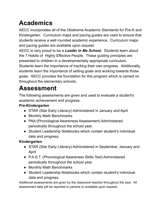# **Academics**

 AECC incorporates all of the Oklahoma Academic Standards for Pre-K and Kindergarten. Curriculum maps and pacing guides are used to ensure that students receive a well rounded academic experience. Curriculum maps and pacing guides are available upon request.

 AECC is very proud to be a *Leader in Me School.* Students learn about the 7 Habits of Highly Effective People. These guiding principles are presented to children in a developmentally appropriate curriculum. Students learn the importance of tracking their own progress. Additionally, students learn the importance of setting goals and working towards those goals. AECC provides the foundation for this program which is carried on throughout the elementary schools.

### **Assessment**

 The following assessments are given and used to evaluate a student's academic achievement and progress.

#### **Pre-Kindergarten**

- STAR (Star Early Literacy) Administered in January and April
- Monthly Math Benchmarks
- ● PAA (Phonological Awareness Assessment) Administered periodically throughout the school year.
- ● Student Leadership Notebooks which contain student's individual data and progress.

#### **Kindergarten**

- ● STAR (Star Early Literacy) Administered in September, January and April
- ● P.A.S.T. (Phonological Awareness Skills Test) Administered periodically throughout the school year.
- Monthly Math Benchmarks
- ● Student Leadership Notebooks which contain student's individual data and progress.

Additional assessments are given by the classroom teacher throughout the year. All assessment data will be reported to parents or available upon request.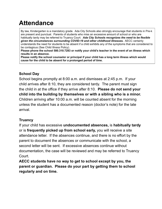### **Attendance**

By law, Kindergarten is a mandatory grade. Ada City Schools also strongly encourage that students in Pre-k are present and punctual. Parents of students who miss an excessive amount of school or who are habitually tardy may be referred to Truancy Court. Ada City Schools recognizes the need to be flexible given the circumstances surrounding COVID-19 and other childhood illnesses. AECC certainly understands the need for students to be absent if a child exhibits any of the symptoms that are considered to be contagious (See Child Illness Policy).

Please phone the school 580.310.7283 or notify your child's teacher in the event of an illness which results in an absence.

Please notify the school counselor or principal if your child has a long term illness which would cause for the child to be absent for a prolonged period of time.

#### **School Day**

 School begins promptly at 8:00 a.m. and dismisses at 2:45 p.m. If your child arrives after 8:10, they are considered tardy. The parent must sign the child in at the office if they arrive after 8:10. **Please do not send your child into the building by themselves or with a sibling who is a minor.** Children arriving after 10:00 a.m. will be counted absent for the morning unless the student has a documented reason (doctor's note) for the late arrival.

#### **Truancy**

 If your child has excessive **undocumented absences,** is **habitually tardy**  or is **frequently picked up from school early,** you will receive a site attendance letter. If the absences continue, and there is no effort by the parent to document the absences or communicate with the school, a second letter will be sent. If excessive absences continue without documentation, the case will be reviewed and may be referred to Truancy Court.

 **AECC students have no way to get to school except by you, the parent or guardian. Please do your part by getting them to school regularly and on time.**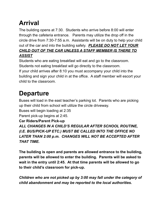# **Arrival**

 The building opens at 7:30. Students who arrive before 8:00 will enter through the cafeteria entrance. Parents may utilize the drop off in the circle drive from 7:30-7:55 a.m. Assistants will be on duty to help your child out of the car and into the building safely. *PLEASE DO NOT LET YOUR CHILD OUT OF THE CAR UNLESS A STAFF MEMBER IS THERE TO ASSIST*

 Students who are eating breakfast will eat and go to the classroom. Students not eating breakfast will go directly to the classroom. If your child arrives after 8:10 you must accompany your child into the building and sign your child in at the office. A staff member will escort your child to the classroom.

# **Departure**

 Buses will load in the east teacher's parking lot. Parents who are picking up their child from school will utilize the circle driveway.

Buses will begin loading at 2:35

Parent pick-up begins at 2:45.

**Car Riders/Parent Pick-up**

 *ALL CHANGES IN A CHILD'S REGULAR AFTER SCHOOL ROUTINE, (I.E. BUS/PICK-UP ETC.) MUST BE CALLED INTO THE OFFICE NO LATER THAN 2:00 p.m. CHANGES WILL NOT BE ACCEPTED AFTER THAT TIME.*

 **The building is open and parents are allowed entrance to the building, parents will be allowed to enter the building. Parents will be asked to wait in the entry until 2:45. At that time parents will be allowed to go to their child's classroom for pick-up.**

 *Children who are not picked up by 3:00 may fall under the category of child abandonment and may be reported to the local authorities.*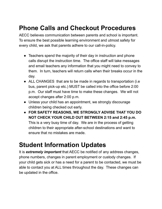#### **Phone Calls and Checkout Procedures**

 AECC believes communication between parents and school is important. To ensure the best possible learning environment and utmost safety for every child, we ask that parents adhere to our call-in-policy.

- ● Teachers spend the majority of their day in instruction and phone calls disrupt the instruction time. The office staff will take messages and email teachers any information that you might need to convey to them. In turn, teachers will return calls when their breaks occur in the day.
- ● ALL CHANGES that are to be made in regards to transportation (i.e bus, parent pick-up etc.) MUST be called into the office before 2:00 p.m. Our staff must have time to make these changes. We will not accept changes after 2:00 p.m.
- ● Unless your child has an appointment, we strongly discourage children being checked out early.
- **FOR SAFETY REASONS, WE STRONGLY ADVISE THAT YOU DO NOT CHECK YOUR CHILD OUT BETWEEN 2:15 and 2:45 p.m.** This is a very busy time of day. We are in the process of getting children to their appropriate after-school destinations and want to ensure that no mistakes are made.

#### **Student Information Updates**

 It is *extremely important* that AECC be notified of any address changes, phone numbers, changes in parent employment or custody changes. If your child gets sick or has a need for a parent to be contacted, we must be able to contact you at ALL times throughout the day. These changes can be updated in the office.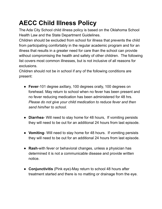# **AECC Child Illness Policy**

 The Ada City School child illness policy is based on the Oklahoma School Health Law and the State Department Guidelines.

 Children should be excluded from school for illness that prevents the child from participating comfortably in the regular academic program and for an illness that results in a greater need for care than the school can provide without compromising the health and safety of other children. The following list covers most common illnesses, but is not inclusive of all reasons for exclusions.

 Children should not be in school if any of the following conditions are present:

- ● **Fever**-101 degree axillary, 100 degrees orally, 100 degrees on forehead. May return to school when no fever has been present and no fever reducing medication has been administered for 48 hrs.  *Please do not give your child medication to reduce fever and then send him/her to school.*
- ● **Diarrhea** Will need to stay home for 48 hours, If vomiting persists they will need to be out for an additional 24 hours from last episode.
- ● **Vomiting** Will need to stay home for 48 hours. If vomiting persists they will need to be out for an additional 24 hours from last episode.
- ● **Rash**-with fever or behavioral changes, unless a physician has determined it is not a communicable disease and provide written notice.
- ● **Conjunctivitis** (Pink eye)-May return to school 48 hours after treatment started and there is no matting or drainage from the eye.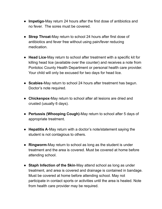- ● **Impetigo**-May return 24 hours after the first dose of antibiotics and no fever. The sores must be covered.
- ● **Strep Throat**-May return to school 24 hours after first dose of antibiotics and fever free without using pain/fever reducing medication.
- ● **Head Lice**-May return to school after treatment with a specific kit for killing head lice (available over the counter) and receives a note from Pontotoc County Health Department or personal health care provider. Your child will only be excused for two days for head lice.
- ● **Scabies**-May return to school 24 hours after treatment has begun. Doctor's note required.
- ● **Chickenpox**-May return to school after all lesions are dried and crusted (usually 6 days).
- ● **Pertussis (Whooping Cough)**-May return to school after 5 days of appropriate treatment.
- ● **Hepatitis A**-May return with a doctor's note/statement saying the student is not contagious to others.
- ● **Ringworm**-May return to school as long as the student is under treatment and the area is covered. Must be covered at home before attending school.
- **Staph Infection of the Skin**-May attend school as long as under treatment, and area is covered and drainage is contained in bandage. Must be covered at home before attending school. May not participate in contact sports or activities until the area is healed. Note from health care provider may be required.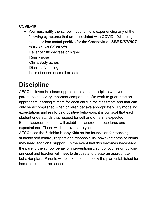#### **COVID-19**

 ● You must notify the school if your child is experiencing any of the following symptoms that are associated with COVID-19,is being tested, or has tested positive for the Coronavirus. *SEE DISTRICT POLICY ON COVID-19* Fever of 100 degrees or higher Loss of sense of smell or taste Runny nose Chills/Body aches Diarrhea/vomiting

#### **Discipline**

 AECC believes in a team approach to school discipline with you, the parent, being a very important component. We work to guarantee an appropriate learning climate for each child in the classroom and that can only be accomplished when children behave appropriately. By modeling expectations and reinforcing positive behaviors, it is our goal that each student understands that respect for self and others is expected. Each classroom teacher will establish classroom procedures and expectations. These will be provided to you.

 AECC uses the 7 Habits Happy Kids as the foundation for teaching students self-control, respect and responsibility, however; some students may need additional support. In the event that this becomes necessary, the parent, the school behavior interventionist, school counselor, building principal and teacher will meet to discuss and create an appropriate behavior plan. Parents will be expected to follow the plan established for home to support the school.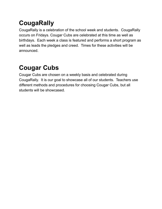# **CougaRally**

 CougaRally is a celebration of the school week and students. CougaRally occurs on Fridays. Cougar Cubs are celebrated at this time as well as birthdays. Each week a class is featured and performs a short program as well as leads the pledges and creed. Times for these activities will be announced.

# **Cougar Cubs**

 Cougar Cubs are chosen on a weekly basis and celebrated during CougaRally. It is our goal to showcase all of our students. Teachers use different methods and procedures for choosing Cougar Cubs, but all students will be showcased.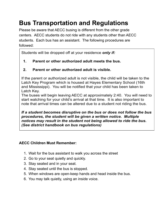# **Bus Transportation and Regulations**

 Please be aware that AECC busing is different from the other grade centers. AECC students do not ride with any students other than AECC students. Each bus has an assistant. The following procedures are followed:

Students will be dropped off at your residence *only if:* 

1. Parent or other authorized adult meets the bus.

#### 2. Parent or other authorized adult is visible.

If the parent or authorized adult is not visible, the child will be taken to the Latch Key Program which is housed at Hayes Elementary School (16th and Mississippi). You will be notified that your child has been taken to Latch Key.

The buses will begin leaving AECC at approximately 2:40. You will need to start watching for your child's arrival at that time. It is also important to note that arrival times can be altered due to a student not riding the bus.

If a student becomes disruptive on the bus or does not follow the bus procedures, the student will be given a written notice. Multiple notices may result in the student not being allowed to ride the bus. (See district handbook on bus regulations)

#### **AECC Children Must Remember:**

- 1. Wait for the bus assistant to walk you across the street
- 2. Go to your seat quietly and quickly.
- 3. Stay seated and in your seat.
- 4. Stay seated until the bus is stopped.
- 5. When windows are open-keep hands and head inside the bus.
- 6. You may talk quietly, using an inside voice.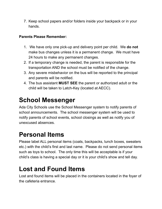7. Keep school papers and/or folders inside your backpack or in your hands.

#### **Parents Please Remember:**

- 1. We have only one pick-up and delivery point per child. We **do not** make bus changes unless it is a permanent change. We must have 24 hours to make any permanent changes.
- 2. If a temporary change is needed, the parent is responsible for the transportation AND the school must be notified of the change.
- 3. Any severe misbehavior on the bus will be reported to the principal and parents will be notified.
- 4. The bus assistant **MUST SEE** the parent or authorized adult or the child will be taken to Latch-Key (located at AECC).

### **School Messenger**

 Ada City Schools use the School Messenger system to notify parents of school announcements. The school messenger system will be used to notify parents of school events, school closings as well as notify you of unexcused absences.

#### **Personal Items**

 Please label ALL personal items (coats, backpacks, lunch boxes, sweaters etc.) with the child's first and last name. Please do not send personal items such as toys to school. The only time this will be acceptable is if your child's class is having a special day or it is your child's show and tell day.

### **Lost and Found Items**

 Lost and found items will be placed in the containers located in the foyer of the cafeteria entrance.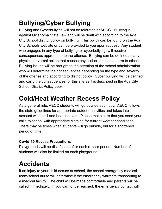# **Bullying/Cyber Bullying**

 Bullying and Cyberbullying will not be tolerated at AECC. Bullying is against Oklahoma State Law and will be dealt with according to the Ada City School district policy on bullying. This policy can be found on the Ada City Schools website or can be provided to you upon request. Any student who engages in any type of bullying, or cyberbullying, will receive consequences appropriate to the offense. Bullying can be defined as any physical or verbal action that causes physical or emotional harm to others. Bullying issues will be brought to the attention of the school administration who will determine the consequences depending on the type and severity of the offense and according to district policy. Cyber bullying will be defined and carry the consequences for this site as it is described in the Ada City School District Policy book.

#### **Cold/Heat Weather Recess Policy**

 As a general rule, AECC students will go outside each day. AECC follows the state guidelines for appropriate outdoor activities and takes into account wind chill and heat indexes. Please make sure that you send your child to school with appropriate clothing for current weather conditions. There may be times when students will go outside, but for a shortened period of time.

#### **Covid-19 Recess Precautions**

 Playgrounds will be disinfected after each recess period. Number of students will also be limited on each playground.

# **Accidents**

 If an injury to your child occurs at school, the school emergency medical team/school nurse will determine if the emergency warrants transporting to a medical facility. The child will be made comfortable and parents will be called immediately. If you cannot be reached, the emergency contact will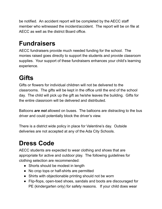be notified. An accident report will be completed by the AECC staff member who witnessed the incident/accident. The report will be on file at AECC as well as the district Board office.

# **Fundraisers**

 AECC fundraisers provide much needed funding for the school. The monies raised goes directly to support the students and provide classroom supplies. Your support of these fundraisers enhances your child's learning experience.

# **Gifts**

 Gifts or flowers for individual children will not be delivered to the classrooms. The gifts will be kept in the office until the end of the school day. The child will pick up the gift as he/she leaves the building. Gifts for the entire classroom will be delivered and distributed.

 Balloons *are not* allowed on buses. The balloons are distracting to the bus driver and could potentially block the driver's view.

 There is a district wide policy in place for Valentine's day. Outside deliveries are not accepted at any of the Ada City Schools.

# **Dress Code**

 AECC students are expected to wear clothing and shoes that are appropriate for active and outdoor play. The following guidelines for clothing selection are recommended:

- Shorts should be modest in length
- No crop tops or half-shirts are permitted
- Shirts with objectionable printing should not be worn
- ● Flip-flops, open-toed shoes, sandals and boots are discouraged for PE (kindergarten only) for safety reasons. If your child does wear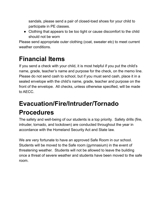sandals, please send a pair of closed-toed shoes for your child to participate in PE classes.

 ● Clothing that appears to be too tight or cause discomfort to the child should not be worn

 Please send appropriate outer clothing (coat, sweater etc) to meet current weather conditions.

### **Financial Items**

 If you send a check with your child, it is most helpful if you put the child's name, grade, teacher's name and purpose for the check, on the memo line. Please do not send cash to school, but if you must send cash, place it in a sealed envelope with the child's name, grade, teacher and purpose on the front of the envelope. All checks, unless otherwise specified, will be made to AECC.

# **Evacuation/Fire/Intruder/Tornado Procedures**

 The safety and well-being of our students is a top priority. Safety drills (fire, intruder, tornado, and lockdown) are conducted throughout the year in accordance with the Homeland Security Act and State law.

 We are very fortunate to have an approved Safe Room in our school. Students will be moved to the Safe room (gymnasium) in the event of threatening weather. Students will not be allowed to leave the building once a threat of severe weather and students have been moved to the safe room.